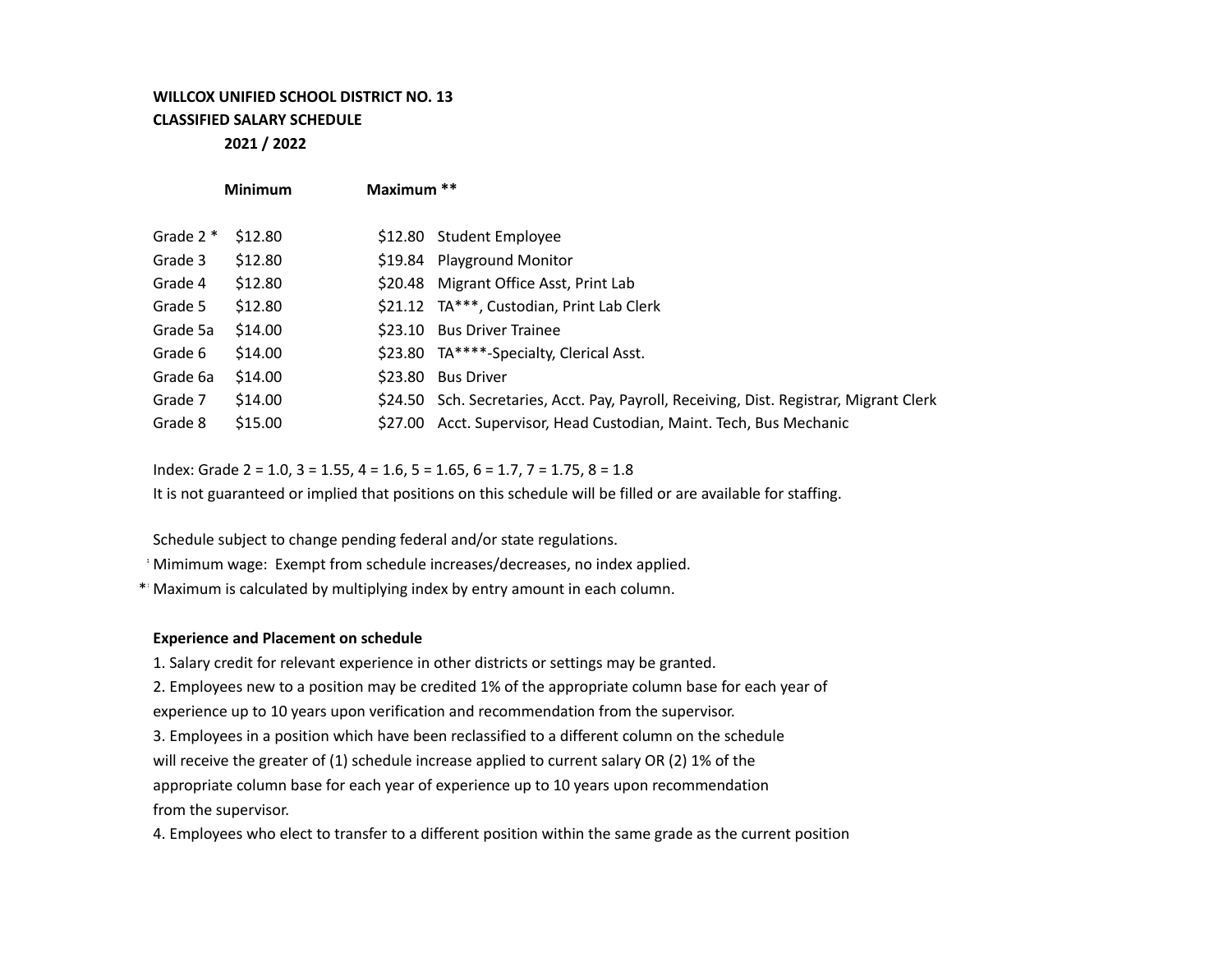## **WILLCOX UNIFIED SCHOOL DISTRICT NO. 13 CLASSIFIED SALARY SCHEDULE**

**2021 / 2022**

|            | <b>Minimum</b>     | Maximum ** |                                                                                         |
|------------|--------------------|------------|-----------------------------------------------------------------------------------------|
| Grade $2*$ | S <sub>12.80</sub> |            | \$12.80 Student Employee                                                                |
| Grade 3    | \$12.80            |            | \$19.84 Playground Monitor                                                              |
| Grade 4    | \$12.80            |            | \$20.48 Migrant Office Asst, Print Lab                                                  |
| Grade 5    | \$12.80            |            | \$21.12 TA***, Custodian, Print Lab Clerk                                               |
| Grade 5a   | \$14.00            | S23.10     | <b>Bus Driver Trainee</b>                                                               |
| Grade 6    | \$14.00            |            | \$23.80 TA****-Specialty, Clerical Asst.                                                |
| Grade 6a   | \$14.00            | \$23.80    | <b>Bus Driver</b>                                                                       |
| Grade 7    | \$14.00            |            | \$24.50 Sch. Secretaries, Acct. Pay, Payroll, Receiving, Dist. Registrar, Migrant Clerk |
| Grade 8    | \$15.00            |            | \$27.00 Acct. Supervisor, Head Custodian, Maint. Tech, Bus Mechanic                     |

Index: Grade  $2 = 1.0$ ,  $3 = 1.55$ ,  $4 = 1.6$ ,  $5 = 1.65$ ,  $6 = 1.7$ ,  $7 = 1.75$ ,  $8 = 1.8$ 

It is not guaranteed or implied that positions on this schedule will be filled or are available for staffing.

Schedule subject to change pending federal and/or state regulations.

\*Mimimum wage: Exempt from schedule increases/decreases, no index applied.

\*\*Maximum is calculated by multiplying index by entry amount in each column.

## **Experience and Placement on schedule**

1. Salary credit for relevant experience in other districts or settings may be granted.

2. Employees new to a position may be credited 1% of the appropriate column base for each year of experience up to 10 years upon verification and recommendation from the supervisor.

3. Employees in a position which have been reclassified to a different column on the schedule will receive the greater of (1) schedule increase applied to current salary OR (2) 1% of the appropriate column base for each year of experience up to 10 years upon recommendation from the supervisor.

4. Employees who elect to transfer to a different position within the same grade as the current position